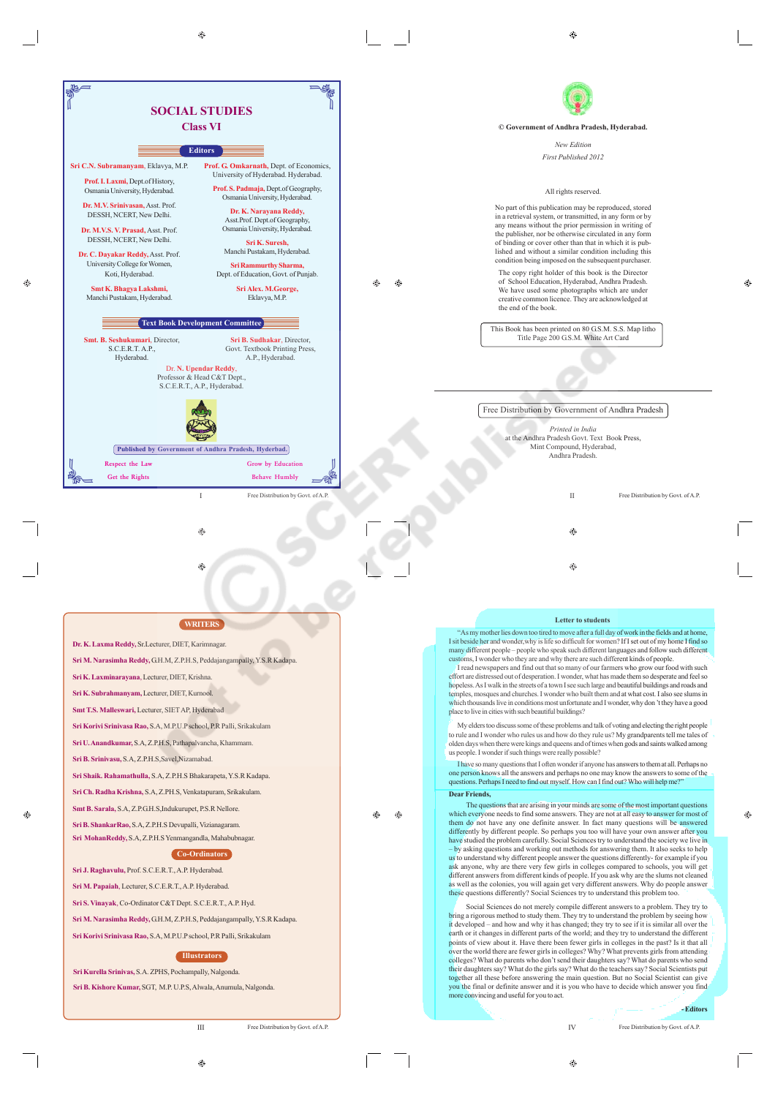| <b>SOCIAL STUDIES</b>                                                                                                                                                                                                                                                                                                                                                                                                                                                                                                                                                                                                                                                                                                                                                                                                                                                                                                                                                                                                                                                                                      |                                                                                                                                                                                                                                                                                                                                                                                                                                                                                                                                                                                                                                                                                                                                                                                                                    |
|------------------------------------------------------------------------------------------------------------------------------------------------------------------------------------------------------------------------------------------------------------------------------------------------------------------------------------------------------------------------------------------------------------------------------------------------------------------------------------------------------------------------------------------------------------------------------------------------------------------------------------------------------------------------------------------------------------------------------------------------------------------------------------------------------------------------------------------------------------------------------------------------------------------------------------------------------------------------------------------------------------------------------------------------------------------------------------------------------------|--------------------------------------------------------------------------------------------------------------------------------------------------------------------------------------------------------------------------------------------------------------------------------------------------------------------------------------------------------------------------------------------------------------------------------------------------------------------------------------------------------------------------------------------------------------------------------------------------------------------------------------------------------------------------------------------------------------------------------------------------------------------------------------------------------------------|
| <b>Class VI</b>                                                                                                                                                                                                                                                                                                                                                                                                                                                                                                                                                                                                                                                                                                                                                                                                                                                                                                                                                                                                                                                                                            | © Government of Andhra Pradesh, Hyderabad.                                                                                                                                                                                                                                                                                                                                                                                                                                                                                                                                                                                                                                                                                                                                                                         |
| <b>Editors</b>                                                                                                                                                                                                                                                                                                                                                                                                                                                                                                                                                                                                                                                                                                                                                                                                                                                                                                                                                                                                                                                                                             | New Edition                                                                                                                                                                                                                                                                                                                                                                                                                                                                                                                                                                                                                                                                                                                                                                                                        |
| Prof. G. Omkarnath, Dept. of Economics,<br>Sri C.N. Subramanyam, Eklavya, M.P.<br>University of Hyderabad. Hyderabad.<br>Prof. I. Laxmi, Dept.of History,<br>Prof. S. Padmaja, Dept.of Geography,<br>Osmania University, Hyderabad.<br>Osmania University, Hyderabad.<br>Dr. M.V. Srinivasan, Asst. Prof.<br>Dr. K. Narayana Reddy,<br>DESSH, NCERT, New Delhi.<br>Asst.Prof. Dept.of Geography,<br>Osmania University, Hyderabad.<br>Dr. M.V.S. V. Prasad, Asst. Prof.<br>DESSH, NCERT, New Delhi.<br>Sri K. Suresh,<br>Manchi Pustakam, Hyderabad.<br>Dr. C. Dayakar Reddy, Asst. Prof.<br>University College for Women,<br>Sri Rammurthy Sharma,<br>Koti, Hyderabad.<br>Dept. of Education, Govt. of Punjab.<br>Sri Alex. M.George,<br>Smt K. Bhagya Lakshmi,<br>Eklavya, M.P.<br>Manchi Pustakam, Hyderabad.<br><b>Text Book Development Committee</b><br>Smt. B. Seshukumari, Director,<br>Sri B. Sudhakar, Director,<br>Govt. Textbook Printing Press,<br>S.C.E.R.T. A.P.,<br>Hyderabad.<br>A.P., Hyderabad.<br>Dr. N. Upendar Reddy.<br>Professor & Head C&T Dept.,<br>S.C.E.R.T., A.P., Hyderabad. | First Published 2012<br>All rights reserved.<br>No part of this publication may be reproduced, stored<br>in a retrieval system, or transmitted, in any form or by<br>any means without the prior permission in writing of<br>the publisher, nor be otherwise circulated in any form<br>of binding or cover other than that in which it is pub-<br>lished and without a similar condition including this<br>condition being imposed on the subsequent purchaser.<br>The copy right holder of this book is the Director<br>of School Education, Hyderabad, Andhra Pradesh.<br>⊛<br>⊕<br>We have used some photographs which are under<br>creative common licence. They are acknowledged at<br>the end of the book.<br>This Book has been printed on 80 G.S.M. S.S. Map litho<br>Title Page 200 G.S.M. White Art Card |
| Published by Government of Andhra Pradesh, Hyderbad.<br>Respect the Law<br>Grow by Education<br>Get the Rights<br><b>Behave Humbly</b><br>$\mathbf{I}$<br>Free Distribution by Govt. of A.P.<br>⊕                                                                                                                                                                                                                                                                                                                                                                                                                                                                                                                                                                                                                                                                                                                                                                                                                                                                                                          | Free Distribution by Government of Andhra Pradesh<br>Printed in India<br>at the Andhra Pradesh Govt. Text Book Press,<br>Mint Compound, Hyderabad,<br>Andhra Pradesh.<br>$\mathbf{I}$<br>Free Distribution by Govt. of A.P.<br>⊕                                                                                                                                                                                                                                                                                                                                                                                                                                                                                                                                                                                   |
| ⊕                                                                                                                                                                                                                                                                                                                                                                                                                                                                                                                                                                                                                                                                                                                                                                                                                                                                                                                                                                                                                                                                                                          | ◈                                                                                                                                                                                                                                                                                                                                                                                                                                                                                                                                                                                                                                                                                                                                                                                                                  |

#### **Letter to students**

 $\hat{c}$ 

"As my mother lies down too tired to move after a full day of work in the fields and at home, I sit beside her and wonder,why is life so difficult for women? If I set out of my home I find so many different people – people who speak such different languages and follow such different customs, I wonder who they are and why there are such different kinds of people.

I read newspapers and find out that so many of our farmers who grow our food with such effort are distressed out of desperation. I wonder, what has made them so desperate and feel so hopeless. As I walk in the streets of a town I see such large and beautiful buildings and roads and temples, mosques and churches. I wonder who built them and at what cost. I also see slums in temples, mosques and churches. I wonder who built them and at what cost. I also see slums in which thousands live in conditions most unfortunate and I wonder, why don 't they have a good place to live in cities with such beautiful buildings?

My elders too discuss some of these problems and talk of voting and electing the right people to rule and I wonder who rules us and how do they rule us? My grandparents tell me tales of olden days when there were kings and queens and of times when gods and saints walked among us people. I wonder if such things were really possible?

I have so many questions that I often wonder if anyone has answers to them at all. Perhaps no one person knows all the answers and perhaps no one may know the answers to some of the erson and we an are answers and perhaps no one may also we are answers to so

**Dear Friends,**

 $\bigoplus$ 

 $\bigoplus$ 

 $\overline{1}$ 

The questions that are arising in your minds are some of the most important questions which everyone needs to find some answers. They are not at all easy to answer for most of them do not have any one definite answer. In fact many questions will be answered differently by different people. So perhaps you too will have your own answer after you<br>have studied the problem carefully. Social Sciences try to understand the society we live in<br>- by asking questions and working out met us to understand why different people answer the questions differently- for example if you ask anyone, why are there very few girls in colleges compared to schools, you will get different answers from different kinds of people. If you ask why are the slums not cleaned<br>as well as the colonies, you will again get very different answers. Why do people answer<br>these questions differently? Social Scienc

Social Sciences do not merely compile different answers to a problem. They try to bring a rigorous method to study them. They try to understand the problem by seeing how<br>it developed – and how and why it has changed; they try to see if it is similar all over the<br>éarth or it changes in different parts of points of view about it. Have there been fewer girls in colleges in the past? Is it that all over the world there are fewer girls in colleges? Why? What prevents girls from attending colleges? What do parents who don't send their daughters say? What do parents who send<br>their daughters say? What do the girls say? What do the teachers say? Social Scientists put<br>together all these before answering the mai you the final or definite answer and it is you who have to decide which answer you find more convincing and useful for you to act.

**- Editors**

♠

 $\bigoplus$ 

IV Free Distribution by Govt. of A.P.

 $\odot$ 

G.

 $\circledcirc$ 

**Sri M. Narasimha Reddy,** G.H.M, Z.P.H.S, Peddajangampally, Y.S.R Kadapa. **Sri Korivi Srinivasa Rao,** S.A, M.P.U.P school, P.R Palli, Srikakulam

**Co-Ordinators**

**Illustrators**

**Dr. K. Laxma Reddy,** Sr.Lecturer, DIET, Karimnagar.

**Sri K. Laxminarayana**, Lecturer, DIET, Krishna. **Sri K. Subrahmanyam,** Lecturer, DIET, Kurnool. **Smt T.S. Malleswari,** Lecturer, SIET AP, Hyderabad **Sri Korivi Srinivasa Rao,** S.A, M.P.U.P school, P.R Palli, Srikakulam **Sri U. Anandkumar,** S.A, Z.P.H.S, Pathapalvancha, Khammam.

**Sri B. Srinivasu,** S.A, Z.P.H.S,Savel,Nizamabad.

**Sri J. Raghavulu,** Prof. S.C.E.R.T., A.P. Hyderabad. **Sri M. Papaiah**, Lecturer, S.C.E.R.T., A.P. Hyderabad. **Sri S. Vinayak**, Co-Ordinator C&T Dept. S.C.E.R.T., A.P. Hyd.

**Sri Kurella Srinivas,** S.A. ZPHS, Pochampally, Nalgonda. **Sri B. Kishore Kumar,** SGT, M.P. U.P.S, Alwala, Anumula, Nalgonda.

**Sri Shaik. Rahamathulla,** S.A, Z.P.H.S Bhakarapeta, Y.S.R Kadapa. **Sri Ch. Radha Krishna,** S.A, Z.PH.S, Venkatapuram, Srikakulam. **Smt B. Sarala,** S.A, Z.P.G.H.S,Indukurupet, P.S.R Nellore. **Sri B. ShankarRao,** S.A, Z.P.H.S Devupalli, Vizianagaram. **Sri MohanReddy,** S.A, Z.P.H.S Yenmangandla, Mahabubnagar.

**Sri M. Narasimha Reddy,** G.H.M, Z.P.H.S, Peddajangampally, Y.S.R Kadapa.

**WRITERS**

 $\bigoplus$ 

III Free Distribution by Govt. of A.P.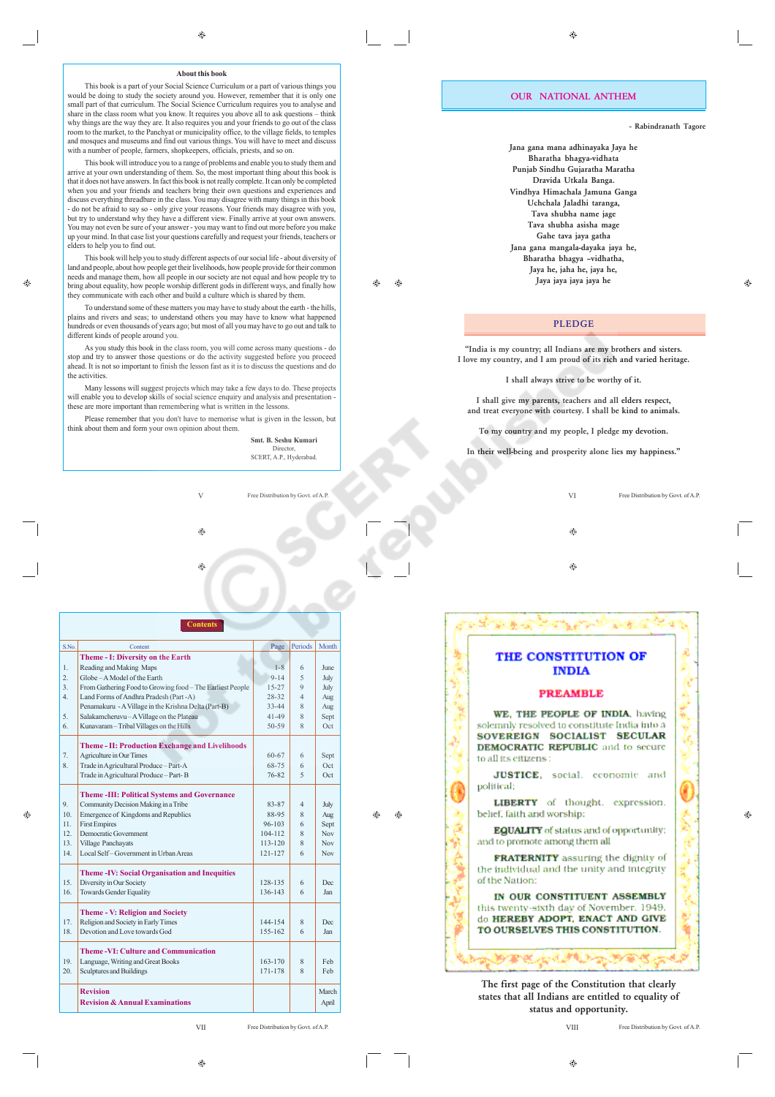This book is a part of your Social Science Curriculum or a part of various things you would be doing to study the society around you. However, remember that it is only one small part of that curriculum. The Social Science Curriculum requires you to analyse and share in the class room what you know. It requires you above all to ask questions – think why things are the way they are. It also requires you and your friends to go out of the class room to the market, to the Panchyat or municipality office, to the village fields, to temples and mosques and museums and find out various things. You will have to meet and discuss with a number of people, farmers, shopkeepers, officials, priests, and so on.

This book will introduce you to a range of problems and enable you to study them and arrive at your own understanding of them. So, the most important thing about this book is that it does not have answers. In fact this book is not really complete. It can only be completed when you and your friends and teachers bring their own questions and experiences and discuss everything threadbare in the class. You may disagree with many things in this book - do not be afraid to say so - only give your reasons. Your friends may disagree with you, but try to understand why they have a different view. Finally arrive at your own answers. You may not even be sure of your answer - you may want to find out more before you make up your mind. In that case list your questions carefully and request your friends, teachers or elders to help you to find out.

This book will help you to study different aspects of our social life - about diversity of land and people, about how people get their livelihoods, how people provide for their common needs and manage them, how all people in our society are not equal and how people try to bring about equality, how people worship different gods in different ways, and finally how they communicate with each other and build a culture which is shared by them.

To understand some of these matters you may have to study about the earth - the hills, plains and rivers and seas; to understand others you may have to know what happened hundreds or even thousands of years ago; but most of all you may have to go out and talk to different kinds of people around you.

As you study this book in the class room, you will come across many questions - do stop and try to answer those questions or do the activity suggested before you proceed ahead. It is not so important to finish the lesson fast as it is to discuss the questions and do the activities.

Many lessons will suggest projects which may take a few days to do. These projects will enable you to develop skills of social science enquiry and analysis and presentation - these are more important than remembering what is written in the lessons.

Please remember that you don't have to memorise what is given in the lesson, but think about them and form your own opinion about them.

**Smt. B. Seshu Kumari** Director, SCERT, A.P., Hyderabad.

 $\triangle$ 

 $\bigoplus$  $\bigoplus$ 

V Free Distribution by Govt. of A.P.

⊕

| $S$ No.         | Content                                                   | Page        | Periods        | Month      |
|-----------------|-----------------------------------------------------------|-------------|----------------|------------|
|                 | Theme - I: Diversity on the Earth                         |             |                |            |
| $\mathbf{1}$    | Reading and Making Maps                                   | $1 - 8$     | 6              | June       |
| $\overline{2}$  | Globe - A Model of the Earth                              | $9 - 14$    | 5              | July       |
| $\mathcal{E}$   | From Gathering Food to Growing food - The Earliest People | $15 - 27$   | 9              | July       |
| $\overline{4}$  | Land Forms of Andhra Pradesh (Part -A)                    | $28-32$     | $\overline{4}$ | Aug        |
|                 | Penamakuru - A Village in the Krishna Delta (Part-B)      | $33 - 44$   | 8              | Aug        |
| 5.              | Salakamcheruvu-A Village on the Plateau                   | $41 - 49$   | 8              | Sept       |
| 6               | Kunavaram - Tribal Villages on the Hills                  | $50 - 59$   | 8              | Oct        |
|                 | <b>Theme - II: Production Exchange and Livelihoods</b>    |             |                |            |
| 7.              | Agriculture in Our Times                                  | 60-67       | 6              | Sept       |
| 8 <sup>1</sup>  | Trade in Agricultural Produce - Part-A                    | 68-75       | 6              | Oct        |
|                 | Trade in Agricultural Produce - Part-B                    | 76-82       | $\varsigma$    | Oct        |
|                 | <b>Theme-III: Political Systems and Governance</b>        |             |                |            |
| 9.              | Community Decision Making in a Tribe                      | 83-87       | $\overline{4}$ | July       |
| 10 <sup>1</sup> | Emergence of Kingdoms and Republics                       | 88-95       | 8              | Aug        |
| 11              | <b>First Empires</b>                                      | $96 - 103$  | 6              | Sept       |
| 12              | Democratic Government                                     | $104 - 112$ | 8              | <b>Nov</b> |
| 13              | Village Panchayats                                        | $113 - 120$ | 8              | <b>Nov</b> |
| 14              | Local Self-Government in Urban Areas                      | $121 - 127$ | 6              | <b>Nov</b> |
|                 | <b>Theme-IV: Social Organisation and Inequities</b>       |             |                |            |
| 15              | Diversity in Our Society                                  | 128-135     | 6              | Dec.       |
| 16              | <b>Towards Gender Equality</b>                            | 136-143     | 6              | <b>Jan</b> |
|                 | <b>Theme - V: Religion and Society</b>                    |             |                |            |
| 17.             | Religion and Society in Early Times                       | 144-154     | 8              | <b>Dec</b> |
| 18              | Devotion and Love towards God                             | 155-162     | 6              | Jan        |
|                 | <b>Theme-VI: Culture and Communication</b>                |             |                |            |
| 19              | Language, Writing and Great Books                         | $163 - 170$ | 8              | Feb        |
| 20              | Sculptures and Buildings                                  | 171-178     | 8              | Feb        |
|                 | <b>Revision</b>                                           |             |                | March      |
|                 | <b>Revision &amp; Annual Examinations</b>                 |             |                | April      |

VII Free Distribution by Govt. of A.P.

 $\hat{\mathbf{c}}$ 

**- Rabindranath Tagore**

**Jana gana mana adhinayaka Jaya he Bharatha bhagya-vidhata Punjab Sindhu Gujaratha Maratha Dravida Utkala Banga. Vindhya Himachala Jamuna Ganga Uchchala Jaladhi taranga, Tava shubha name jage Tava shubha asisha mage Gahe tava jaya gatha Jana gana mangala-dayaka jaya he, Bharatha bhagya –vidhatha, Jaya he, jaha he, jaya he, Jaya jaya jaya jaya he**

#### **PLEDGE**

**"India is my country; all Indians are my brothers and sisters. I love my country, and I am proud of its rich and varied heritage.**

**I shall always strive to be worthy of it.**

**I shall give my parents, teachers and all elders respect, and treat everyone with courtesy. I shall be kind to animals.**

**To my country and my people, I pledge my devotion.**

**In their well-being and prosperity alone lies my happiness."**

VI Free Distribution by Govt. of A.P. ۸ Ø.

#### THE CONSTITUTION OF **INDIA**

#### **PREAMBLE**

WE. THE PEOPLE OF INDIA, having solemnly resolved to constitute India into a SOVEREIGN SOCIALIST SECULAR **DEMOCRATIC REPUBLIC** and to secure to all its eitizens:

JUSTICE, social, economic and political:

LIBERTY of thought. expression. belief, faith and worship;

**EQUALITY** of status and of opportunity; and to promote among them all

FRATERNITY assuring the dignity of the individual and the unity and integrity of the Nation:

IN OUR CONSTITUENT ASSEMBLY this twenty-sixth day of November, 1949. do HEREBY ADOPT, ENACT AND GIVE TO OURSELVES THIS CONSTITUTION.

**The first page of the Constitution that clearly states that all Indians are entitled to equality of status and opportunity.**

计理解 医一种麻痹

VIII Free Distribution by Govt. of A.P.

 $\oplus$ 

 $\bigoplus$ 

Ô.